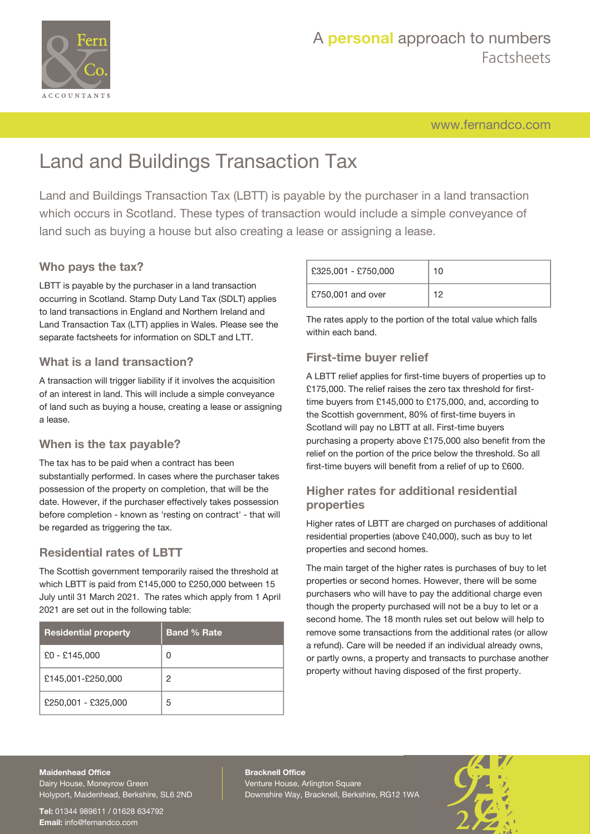

[www.fernandco.com](http://www.fernandco.com)

# Land and Buildings Transaction Tax

Land and Buildings Transaction Tax (LBTT) is payable by the purchaser in a land transaction which occurs in Scotland. These types of transaction would include a simple conveyance of land such as buying a house but also creating a lease or assigning a lease.

### **Who pays the tax?**

LBTT is payable by the purchaser in a land transaction occurring in Scotland. Stamp Duty Land Tax (SDLT) applies to land transactions in England and Northern Ireland and Land Transaction Tax (LTT) applies in Wales. Please see the separate factsheets for information on SDLT and LTT.

#### **What is a land transaction?**

A transaction will trigger liability if it involves the acquisition of an interest in land. This will include a simple conveyance of land such as buying a house, creating a lease or assigning a lease.

#### **When is the tax payable?**

The tax has to be paid when a contract has been substantially performed. In cases where the purchaser takes possession of the property on completion, that will be the date. However, if the purchaser effectively takes possession before completion - known as 'resting on contract' - that will be regarded as triggering the tax.

#### **Residential rates of LBTT**

The Scottish government temporarily raised the threshold at which LBTT is paid from £145,000 to £250,000 between 15 July until 31 March 2021. The rates which apply from 1 April 2021 are set out in the following table:

| <b>Residential property</b> | <b>Band % Rate</b> |
|-----------------------------|--------------------|
| £0 - £145,000               | Ω                  |
| £145,001-£250,000           | 2                  |
| £250,001 - £325,000         | 5                  |

| £325,001 - £750,000 | 1 N |
|---------------------|-----|
| £750,001 and over   | 10  |

The rates apply to the portion of the total value which falls within each band.

#### **First-time buyer relief**

A LBTT relief applies for first-time buyers of properties up to £175,000. The relief raises the zero tax threshold for firsttime buyers from £145,000 to £175,000, and, according to the Scottish government, 80% of first-time buyers in Scotland will pay no LBTT at all. First-time buyers purchasing a property above £175,000 also benefit from the relief on the portion of the price below the threshold. So all first-time buyers will benefit from a relief of up to £600.

#### **Higher rates for additional residential properties**

Higher rates of LBTT are charged on purchases of additional residential properties (above £40,000), such as buy to let properties and second homes.

The main target of the higher rates is purchases of buy to let properties or second homes. However, there will be some purchasers who will have to pay the additional charge even though the property purchased will not be a buy to let or a second home. The 18 month rules set out below will help to remove some transactions from the additional rates (or allow a refund). Care will be needed if an individual already owns, or partly owns, a property and transacts to purchase another property without having disposed of the first property.

#### **Maidenhead Office**

Dairy House, Moneyrow Green Holyport, Maidenhead, Berkshire, SL6 2ND

**Tel:** 01344 989611 / 01628 634792 **Email:** [info@fernandco.com](mailto:info@fernandco.com)

**Bracknell Office** Venture House, Arlington Square Downshire Way, Bracknell, Berkshire, RG12 1WA